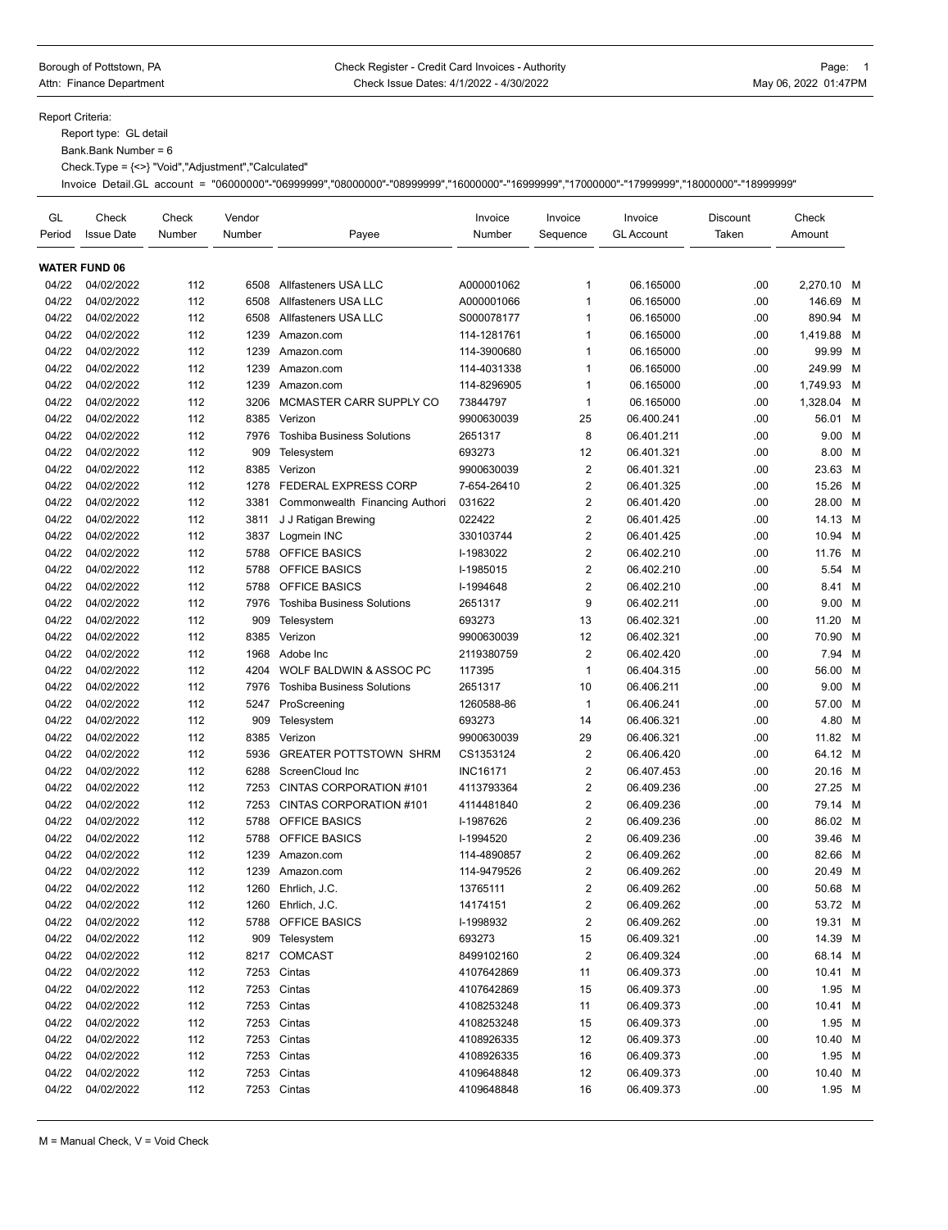## Borough of Pottstown, PA **Check Register - Credit Card Invoices - Authority Page: 1** Page: 1 Attn: Finance Department **Check Issue Dates: 4/1/2022 - 4/30/2022** May 06, 2022 01:47PM

Report Criteria:

Report type: GL detail

Bank.Bank Number = 6

Check.Type = {<>} "Void","Adjustment","Calculated"

Invoice Detail.GL account = "06000000"-"06999999","08000000"-"08999999","16000000"-"16999999","17000000"-"17999999","18000000"-"18999999"

| GL<br>Period | Check<br><b>Issue Date</b> | Check<br>Number | Vendor<br>Number | Payee                             | Invoice<br>Number | Invoice<br>Sequence     | Invoice<br><b>GL Account</b> | Discount<br>Taken | Check<br>Amount |   |
|--------------|----------------------------|-----------------|------------------|-----------------------------------|-------------------|-------------------------|------------------------------|-------------------|-----------------|---|
|              | <b>WATER FUND 06</b>       |                 |                  |                                   |                   |                         |                              |                   |                 |   |
| 04/22        | 04/02/2022                 | 112             | 6508             | Allfasteners USA LLC              | A000001062        | $\mathbf{1}$            | 06.165000                    | .00               | 2.270.10 M      |   |
| 04/22        | 04/02/2022                 | 112             | 6508             | Allfasteners USA LLC              | A000001066        | $\mathbf{1}$            | 06.165000                    | .00               | 146.69          | M |
| 04/22        | 04/02/2022                 | 112             | 6508             | Allfasteners USA LLC              | S000078177        | $\mathbf{1}$            | 06.165000                    | .00               | 890.94          | M |
| 04/22        | 04/02/2022                 | 112             | 1239             | Amazon.com                        | 114-1281761       | $\mathbf{1}$            | 06.165000                    | .00               | 1,419.88        | M |
| 04/22        | 04/02/2022                 | 112             | 1239             | Amazon.com                        | 114-3900680       | $\mathbf{1}$            | 06.165000                    | .00               | 99.99           | M |
| 04/22        | 04/02/2022                 | 112             | 1239             | Amazon.com                        | 114-4031338       | $\mathbf{1}$            | 06.165000                    | .00               | 249.99          | M |
| 04/22        | 04/02/2022                 | 112             | 1239             | Amazon.com                        | 114-8296905       | $\mathbf{1}$            | 06.165000                    | .00               | 1.749.93        | M |
| 04/22        | 04/02/2022                 | 112             | 3206             | MCMASTER CARR SUPPLY CO           | 73844797          | $\mathbf{1}$            | 06.165000                    | .00               | 1,328.04 M      |   |
| 04/22        | 04/02/2022                 | 112             | 8385             | Verizon                           | 9900630039        | 25                      | 06.400.241                   | .00               | 56.01 M         |   |
| 04/22        | 04/02/2022                 | 112             | 7976             | <b>Toshiba Business Solutions</b> | 2651317           | 8                       | 06.401.211                   | .00               | 9.00 M          |   |
| 04/22        | 04/02/2022                 | 112             | 909              | Telesystem                        | 693273            | 12                      | 06.401.321                   | .00               | 8.00 M          |   |
| 04/22        | 04/02/2022                 | 112             | 8385             | Verizon                           | 9900630039        | $\overline{2}$          | 06.401.321                   | .00               | 23.63 M         |   |
| 04/22        | 04/02/2022                 | 112             | 1278             | <b>FEDERAL EXPRESS CORP</b>       | 7-654-26410       | $\overline{2}$          | 06.401.325                   | .00               | 15.26           | M |
| 04/22        | 04/02/2022                 | 112             | 3381             | Commonwealth Financing Authori    | 031622            | $\overline{2}$          | 06.401.420                   | .00               | 28.00 M         |   |
| 04/22        | 04/02/2022                 | 112             | 3811             | J J Ratigan Brewing               | 022422            | $\sqrt{2}$              | 06.401.425                   | .00               | 14.13 M         |   |
| 04/22        | 04/02/2022                 | 112             | 3837             | Logmein INC                       | 330103744         | $\overline{2}$          | 06.401.425                   | .00               | 10.94 M         |   |
| 04/22        | 04/02/2022                 | 112             | 5788             | <b>OFFICE BASICS</b>              | I-1983022         | $\overline{2}$          | 06.402.210                   | .00               | 11.76           | M |
| 04/22        | 04/02/2022                 | 112             | 5788             | OFFICE BASICS                     | I-1985015         | $\overline{2}$          | 06.402.210                   | .00               | 5.54 M          |   |
| 04/22        | 04/02/2022                 | 112             | 5788             | <b>OFFICE BASICS</b>              | I-1994648         | $\sqrt{2}$              | 06.402.210                   | .00               | 8.41 M          |   |
| 04/22        | 04/02/2022                 | 112             | 7976             | <b>Toshiba Business Solutions</b> | 2651317           | 9                       | 06.402.211                   | .00               | 9.00            | M |
| 04/22        | 04/02/2022                 | 112             | 909              | Telesystem                        | 693273            | 13                      | 06.402.321                   | .00               | 11.20           | M |
| 04/22        | 04/02/2022                 | 112             | 8385             | Verizon                           | 9900630039        | 12                      | 06.402.321                   | .00               | 70.90 M         |   |
| 04/22        | 04/02/2022                 | 112             | 1968             | Adobe Inc                         | 2119380759        | $\overline{2}$          | 06.402.420                   | .00               | 7.94            | M |
| 04/22        | 04/02/2022                 | 112             | 4204             | WOLF BALDWIN & ASSOC PC           |                   | $\mathbf{1}$            | 06.404.315                   | .00               | 56.00 M         |   |
| 04/22        | 04/02/2022                 |                 |                  | <b>Toshiba Business Solutions</b> | 117395            | 10                      |                              | .00               |                 |   |
|              |                            | 112             | 7976             |                                   | 2651317           | $\mathbf{1}$            | 06.406.211                   |                   | 9.00            | M |
| 04/22        | 04/02/2022                 | 112             | 5247             | ProScreening                      | 1260588-86        |                         | 06.406.241                   | .00               | 57.00 M         |   |
| 04/22        | 04/02/2022                 | 112             | 909              | Telesystem                        | 693273            | 14                      | 06.406.321                   | .00               | 4.80            | M |
| 04/22        | 04/02/2022                 | 112             | 8385             | Verizon                           | 9900630039        | 29                      | 06.406.321                   | .00               | 11.82           | M |
| 04/22        | 04/02/2022                 | 112             | 5936             | <b>GREATER POTTSTOWN SHRM</b>     | CS1353124         | $\overline{\mathbf{c}}$ | 06.406.420                   | .00               | 64.12 M         |   |
| 04/22        | 04/02/2022                 | 112             | 6288             | ScreenCloud Inc                   | <b>INC16171</b>   | $\overline{2}$          | 06.407.453                   | .00               | 20.16 M         |   |
| 04/22        | 04/02/2022                 | 112             | 7253             | CINTAS CORPORATION #101           | 4113793364        | $\overline{2}$          | 06.409.236                   | .00               | 27.25 M         |   |
| 04/22        | 04/02/2022                 | 112             | 7253             | CINTAS CORPORATION #101           | 4114481840        | $\overline{2}$          | 06.409.236                   | .00               | 79.14 M         |   |
| 04/22        | 04/02/2022                 | 112             | 5788             | OFFICE BASICS                     | I-1987626         | $\overline{2}$          | 06.409.236                   | .00               | 86.02 M         |   |
| 04/22        | 04/02/2022                 | 112             | 5788             | OFFICE BASICS                     | I-1994520         | $\sqrt{2}$              | 06.409.236                   | .00               | 39.46 M         |   |
| 04/22        | 04/02/2022                 | 112             | 1239             | Amazon.com                        | 114-4890857       | $\sqrt{2}$              | 06.409.262                   | .00               | 82.66           | M |
| 04/22        | 04/02/2022                 | 112             | 1239             | Amazon.com                        | 114-9479526       | $\overline{2}$          | 06.409.262                   | .00               | 20.49           | M |
| 04/22        | 04/02/2022                 | 112             | 1260             | Ehrlich, J.C.                     | 13765111          | $\overline{2}$          | 06.409.262                   | .00               | 50.68 M         |   |
| 04/22        | 04/02/2022                 | 112             |                  | 1260 Ehrlich, J.C.                | 14174151          | 2                       | 06.409.262                   | .00               | 53.72 M         |   |
| 04/22        | 04/02/2022                 | 112             | 5788             | OFFICE BASICS                     | I-1998932         | $\overline{c}$          | 06.409.262                   | .00               | 19.31 M         |   |
| 04/22        | 04/02/2022                 | 112             | 909              | Telesystem                        | 693273            | 15                      | 06.409.321                   | .00               | 14.39 M         |   |
| 04/22        | 04/02/2022                 | 112             |                  | 8217 COMCAST                      | 8499102160        | $\overline{\mathbf{c}}$ | 06.409.324                   | .00               | 68.14 M         |   |
| 04/22        | 04/02/2022                 | 112             | 7253             | Cintas                            | 4107642869        | 11                      | 06.409.373                   | .00               | 10.41 M         |   |
| 04/22        | 04/02/2022                 | 112             |                  | 7253 Cintas                       | 4107642869        | 15                      | 06.409.373                   | .00               | 1.95 M          |   |
| 04/22        | 04/02/2022                 | 112             |                  | 7253 Cintas                       | 4108253248        | 11                      | 06.409.373                   | .00               | 10.41 M         |   |
| 04/22        | 04/02/2022                 | 112             | 7253             | Cintas                            | 4108253248        | 15                      | 06.409.373                   | .00               | 1.95 M          |   |
| 04/22        | 04/02/2022                 | 112             | 7253             | Cintas                            | 4108926335        | 12                      | 06.409.373                   | .00               | 10.40 M         |   |
| 04/22        | 04/02/2022                 | 112             | 7253             | Cintas                            | 4108926335        | 16                      | 06.409.373                   | .00               | 1.95 M          |   |
| 04/22        | 04/02/2022                 | 112             | 7253             | Cintas                            | 4109648848        | 12                      | 06.409.373                   | .00               | 10.40 M         |   |
| 04/22        | 04/02/2022                 | 112             |                  | 7253 Cintas                       | 4109648848        | 16                      | 06.409.373                   | .00               | 1.95 M          |   |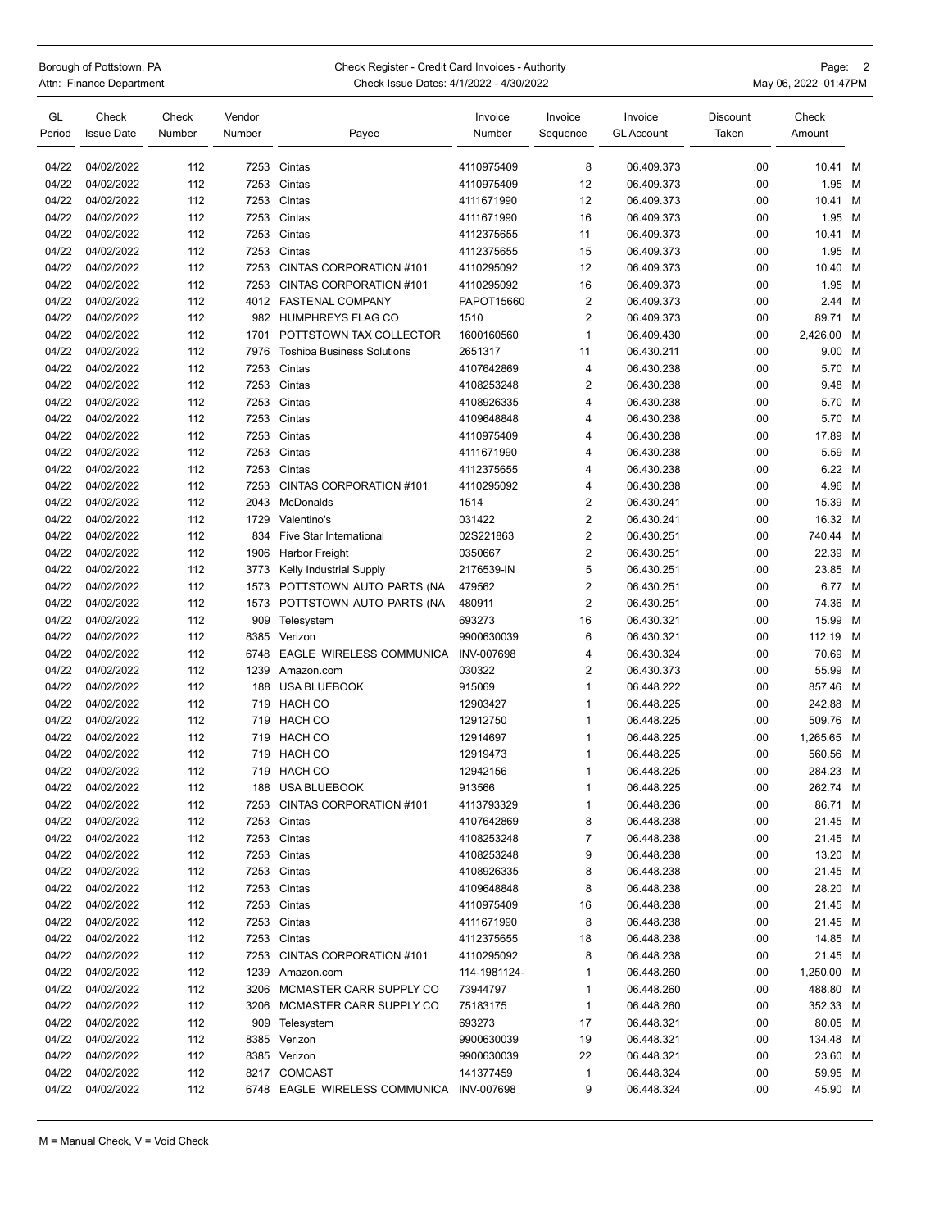| Borough of Pottstown, PA |
|--------------------------|
| Attn: Finance Department |

## Check Register - Credit Card Invoices - Authority **Check Register - Credit Card Invoices - Authority** Page: 2 epartment **Example 2018** Check Issue Dates: 4/1/2022 - 4/30/2022 **Accord 2018** May 06, 2022 01:47PM

| GL     | Check             | Check  | Vendor |                                          | Invoice           | Invoice        | Invoice           | Discount | Check      |   |
|--------|-------------------|--------|--------|------------------------------------------|-------------------|----------------|-------------------|----------|------------|---|
| Period | <b>Issue Date</b> | Number | Number | Payee                                    | Number            | Sequence       | <b>GL Account</b> | Taken    | Amount     |   |
| 04/22  | 04/02/2022        | 112    | 7253   | Cintas                                   | 4110975409        | 8              | 06.409.373        | .00      | 10.41 M    |   |
| 04/22  | 04/02/2022        | 112    | 7253   | Cintas                                   | 4110975409        | 12             | 06.409.373        | .00      | 1.95       | M |
| 04/22  | 04/02/2022        | 112    | 7253   | Cintas                                   | 4111671990        | 12             | 06.409.373        | .00      | 10.41 M    |   |
| 04/22  | 04/02/2022        | 112    | 7253   | Cintas                                   | 4111671990        | 16             | 06.409.373        | .00      | 1.95 M     |   |
| 04/22  | 04/02/2022        | 112    | 7253   | Cintas                                   | 4112375655        | 11             | 06.409.373        | .00      | 10.41 M    |   |
| 04/22  | 04/02/2022        | 112    | 7253   | Cintas                                   | 4112375655        | 15             | 06.409.373        | .00      | 1.95       | M |
| 04/22  | 04/02/2022        | 112    | 7253   | CINTAS CORPORATION #101                  | 4110295092        | 12             | 06.409.373        | .00      | 10.40 M    |   |
| 04/22  | 04/02/2022        | 112    | 7253   | CINTAS CORPORATION #101                  | 4110295092        | 16             | 06.409.373        | .00      | 1.95       | M |
| 04/22  | 04/02/2022        | 112    | 4012   | <b>FASTENAL COMPANY</b>                  | PAPOT15660        | $\overline{2}$ | 06.409.373        | .00      | 2.44 M     |   |
| 04/22  | 04/02/2022        | 112    | 982    | HUMPHREYS FLAG CO                        | 1510              | $\overline{2}$ | 06.409.373        | .00      | 89.71 M    |   |
| 04/22  | 04/02/2022        | 112    | 1701   | POTTSTOWN TAX COLLECTOR                  | 1600160560        | 1              | 06.409.430        | .00      | 2,426.00   | M |
| 04/22  | 04/02/2022        | 112    | 7976   | <b>Toshiba Business Solutions</b>        | 2651317           | 11             | 06.430.211        | .00      | 9.00 M     |   |
| 04/22  | 04/02/2022        | 112    | 7253   | Cintas                                   | 4107642869        | 4              | 06.430.238        | .00      | 5.70 M     |   |
| 04/22  | 04/02/2022        | 112    | 7253   | Cintas                                   | 4108253248        | $\overline{2}$ | 06.430.238        | .00      | 9.48       | M |
| 04/22  | 04/02/2022        | 112    | 7253   | Cintas                                   | 4108926335        | 4              | 06.430.238        | .00      | 5.70 M     |   |
| 04/22  | 04/02/2022        | 112    | 7253   | Cintas                                   | 4109648848        | 4              | 06.430.238        | .00      | 5.70 M     |   |
| 04/22  | 04/02/2022        | 112    | 7253   | Cintas                                   | 4110975409        | 4              | 06.430.238        | .00      | 17.89      | M |
| 04/22  | 04/02/2022        | 112    | 7253   | Cintas                                   | 4111671990        | 4              | 06.430.238        | .00      | 5.59 M     |   |
| 04/22  | 04/02/2022        | 112    | 7253   | Cintas                                   | 4112375655        | 4              | 06.430.238        | .00      | 6.22 M     |   |
| 04/22  | 04/02/2022        | 112    | 7253   | CINTAS CORPORATION #101                  | 4110295092        | 4              | 06.430.238        | .00      | 4.96 M     |   |
| 04/22  | 04/02/2022        | 112    | 2043   | McDonalds                                | 1514              | $\overline{c}$ | 06.430.241        | .00      | 15.39 M    |   |
| 04/22  | 04/02/2022        | 112    | 1729   | Valentino's                              | 031422            | 2              | 06.430.241        | .00      | 16.32 M    |   |
| 04/22  | 04/02/2022        | 112    | 834    | <b>Five Star International</b>           | 02S221863         | $\overline{2}$ | 06.430.251        | .00      | 740.44 M   |   |
| 04/22  | 04/02/2022        | 112    | 1906   | <b>Harbor Freight</b>                    | 0350667           | $\overline{2}$ | 06.430.251        | .00      | 22.39 M    |   |
| 04/22  | 04/02/2022        | 112    | 3773   | Kelly Industrial Supply                  | 2176539-IN        | 5              | 06.430.251        | .00      | 23.85 M    |   |
| 04/22  | 04/02/2022        | 112    | 1573   | POTTSTOWN AUTO PARTS (NA                 | 479562            | 2              | 06.430.251        | .00      | 6.77 M     |   |
| 04/22  | 04/02/2022        | 112    | 1573   | POTTSTOWN AUTO PARTS (NA                 | 480911            | 2              | 06.430.251        | .00      | 74.36      | M |
| 04/22  | 04/02/2022        | 112    | 909    | Telesystem                               | 693273            | 16             | 06.430.321        | .00      | 15.99      | M |
| 04/22  | 04/02/2022        | 112    | 8385   | Verizon                                  | 9900630039        | 6              | 06.430.321        | .00      | 112.19     | м |
| 04/22  | 04/02/2022        | 112    | 6748   | EAGLE WIRELESS COMMUNICA                 | <b>INV-007698</b> | 4              | 06.430.324        | .00      | 70.69 M    |   |
| 04/22  | 04/02/2022        | 112    | 1239   | Amazon.com                               | 030322            | 2              | 06.430.373        | .00      | 55.99 M    |   |
| 04/22  | 04/02/2022        | 112    | 188    | <b>USA BLUEBOOK</b>                      | 915069            | 1              | 06.448.222        | .00      | 857.46 M   |   |
| 04/22  | 04/02/2022        | 112    | 719    | <b>HACH CO</b>                           | 12903427          | 1              | 06.448.225        | .00      | 242.88     | M |
| 04/22  | 04/02/2022        | 112    | 719    | HACH CO                                  | 12912750          | 1              | 06.448.225        | .00      | 509.76     | M |
| 04/22  | 04/02/2022        | 112    | 719    | <b>HACH CO</b>                           | 12914697          | 1              | 06.448.225        | .00      | 1,265.65   | M |
| 04/22  | 04/02/2022        | 112    | 719    | HACH CO                                  | 12919473          | 1              | 06.448.225        | .00      | 560.56     | M |
| 04/22  | 04/02/2022        | 112    | 719    | <b>HACH CO</b>                           | 12942156          | 1              | 06.448.225        | .00      | 284.23     | M |
| 04/22  | 04/02/2022        | 112    | 188    | <b>USA BLUEBOOK</b>                      | 913566            | 1              | 06.448.225        | .00      | 262.74 M   |   |
| 04/22  | 04/02/2022        | 112    |        | 7253 CINTAS CORPORATION #101             | 4113793329        | 1              | 06.448.236        | .00      | 86.71 M    |   |
| 04/22  | 04/02/2022        | 112    | 7253   | Cintas                                   | 4107642869        | 8              | 06.448.238        | .00      | 21.45 M    |   |
| 04/22  | 04/02/2022        | 112    |        | 7253 Cintas                              | 4108253248        | 7              | 06.448.238        | .00      | 21.45 M    |   |
| 04/22  | 04/02/2022        | 112    |        | 7253 Cintas                              | 4108253248        | 9              | 06.448.238        | .00      | 13.20 M    |   |
| 04/22  | 04/02/2022        | 112    | 7253   | Cintas                                   | 4108926335        | 8              | 06.448.238        | .00      | 21.45 M    |   |
| 04/22  | 04/02/2022        | 112    | 7253   | Cintas                                   | 4109648848        | 8              | 06.448.238        | .00      | 28.20 M    |   |
| 04/22  | 04/02/2022        | 112    | 7253   | Cintas                                   | 4110975409        | 16             | 06.448.238        | .00      | 21.45 M    |   |
| 04/22  | 04/02/2022        | 112    |        | 7253 Cintas                              | 4111671990        | 8              | 06.448.238        | .00      | 21.45 M    |   |
| 04/22  | 04/02/2022        | 112    |        | 7253 Cintas                              | 4112375655        | 18             | 06.448.238        | .00      | 14.85 M    |   |
| 04/22  | 04/02/2022        | 112    | 7253   | CINTAS CORPORATION #101                  | 4110295092        | 8              | 06.448.238        | .00      | 21.45 M    |   |
| 04/22  | 04/02/2022        | 112    | 1239   | Amazon.com                               | 114-1981124-      | 1              | 06.448.260        | .00      | 1,250.00 M |   |
| 04/22  | 04/02/2022        | 112    | 3206   | MCMASTER CARR SUPPLY CO                  | 73944797          | 1              | 06.448.260        | .00      | 488.80 M   |   |
| 04/22  | 04/02/2022        | 112    | 3206   | MCMASTER CARR SUPPLY CO                  | 75183175          | 1              | 06.448.260        | .00      | 352.33 M   |   |
| 04/22  | 04/02/2022        | 112    | 909    | Telesystem                               | 693273            | 17             | 06.448.321        | .00      | 80.05 M    |   |
| 04/22  | 04/02/2022        | 112    | 8385   | Verizon                                  | 9900630039        | 19             | 06.448.321        | .00      | 134.48 M   |   |
| 04/22  | 04/02/2022        | 112    |        | 8385 Verizon                             | 9900630039        | 22             | 06.448.321        | .00      | 23.60 M    |   |
| 04/22  | 04/02/2022        | 112    |        | 8217 COMCAST                             | 141377459         | 1              | 06.448.324        | .00      | 59.95 M    |   |
| 04/22  | 04/02/2022        | 112    |        | 6748 EAGLE WIRELESS COMMUNICA INV-007698 |                   | 9              | 06.448.324        | .00      | 45.90 M    |   |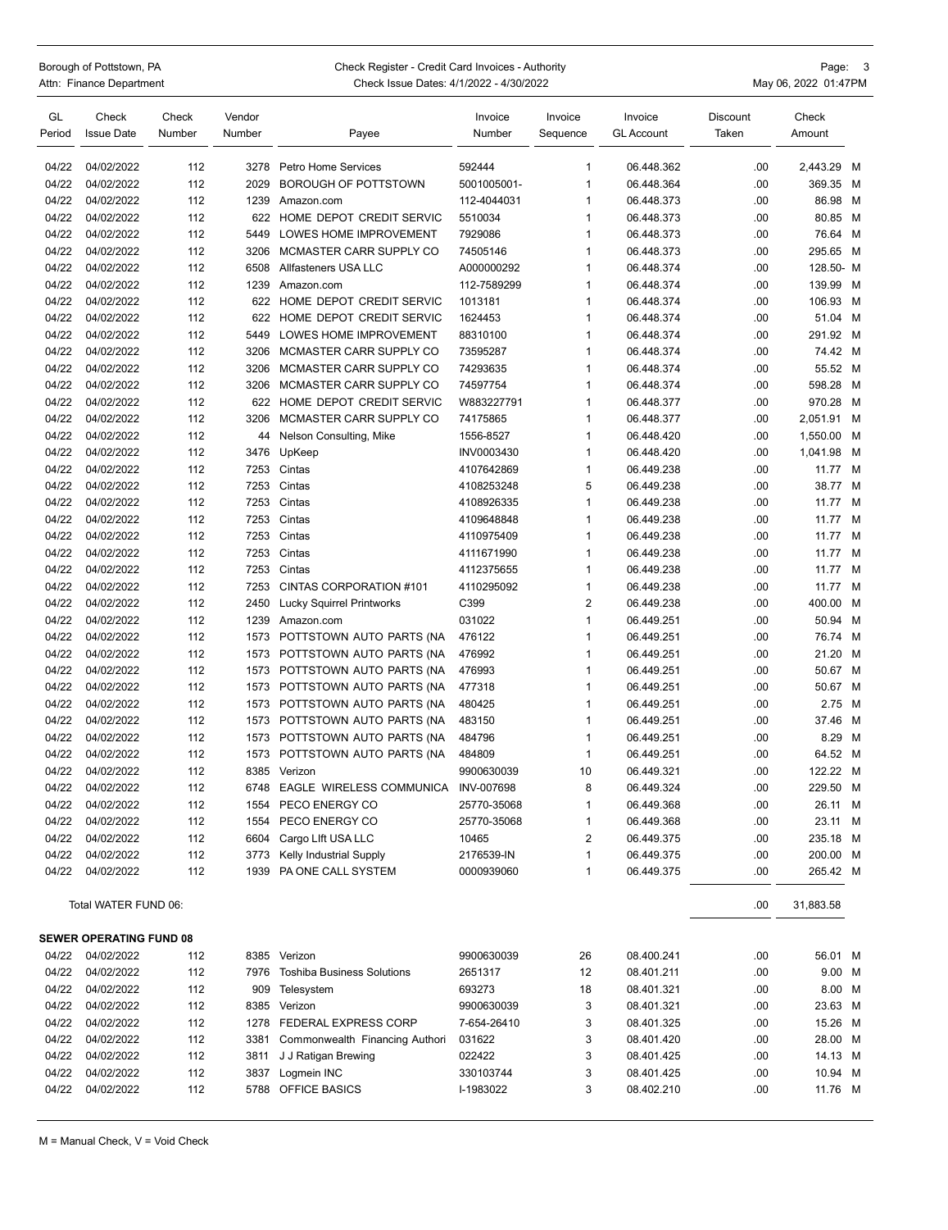Borough of Pottstown, PA **Page: 2 Shorough of Pottstown, PA** Check Register - Credit Card Invoices - Authority Page: 3<br>Attn: Finance Department Page: 201:47PM Check Issue Dates: 4/1/2022 - 4/30/2022 Check Issue Dates: 4/1/2022 - 4/30/2022 **Attack 1998** May 06, 2022 01:47PM

| GL<br>Period | Check<br><b>Issue Date</b>     | Check<br>Number | Vendor<br>Number | Payee                             | Invoice<br>Number | Invoice<br>Sequence | Invoice<br>GL Account | Discount<br>Taken | Check<br>Amount |   |
|--------------|--------------------------------|-----------------|------------------|-----------------------------------|-------------------|---------------------|-----------------------|-------------------|-----------------|---|
|              |                                |                 |                  |                                   |                   |                     |                       |                   |                 |   |
| 04/22        | 04/02/2022                     | 112             | 3278             | Petro Home Services               | 592444            | $\mathbf{1}$        | 06.448.362            | .00               | 2,443.29 M      |   |
| 04/22        | 04/02/2022                     | 112             | 2029             | <b>BOROUGH OF POTTSTOWN</b>       | 5001005001-       | $\mathbf{1}$        | 06.448.364            | .00               | 369.35 M        |   |
| 04/22        | 04/02/2022                     | 112             | 1239             | Amazon.com                        | 112-4044031       | 1                   | 06.448.373            | .00               | 86.98 M         |   |
| 04/22        | 04/02/2022                     | 112             | 622              | HOME DEPOT CREDIT SERVIC          | 5510034           | 1<br>1              | 06.448.373            | .00               | 80.85 M         |   |
| 04/22        | 04/02/2022                     | 112             | 5449             | LOWES HOME IMPROVEMENT            | 7929086           |                     | 06.448.373            | .00               | 76.64 M         |   |
| 04/22        | 04/02/2022                     | 112             | 3206             | MCMASTER CARR SUPPLY CO           | 74505146          | 1                   | 06.448.373            | .00               | 295.65 M        |   |
| 04/22        | 04/02/2022                     | 112             | 6508             | Allfasteners USA LLC              | A000000292        | $\mathbf{1}$<br>1   | 06.448.374            | .00               | 128.50- M       |   |
| 04/22        | 04/02/2022                     | 112             | 1239             | Amazon.com                        | 112-7589299       |                     | 06.448.374            | .00               | 139.99          | M |
| 04/22        | 04/02/2022                     | 112             | 622              | HOME DEPOT CREDIT SERVIC          | 1013181           | 1                   | 06.448.374            | .00               | 106.93 M        |   |
| 04/22        | 04/02/2022                     | 112             | 622              | HOME DEPOT CREDIT SERVIC          | 1624453           | 1                   | 06.448.374            | .00               | 51.04 M         |   |
| 04/22        | 04/02/2022                     | 112             | 5449             | LOWES HOME IMPROVEMENT            | 88310100          | 1                   | 06.448.374            | .00               | 291.92 M        |   |
| 04/22        | 04/02/2022                     | 112             | 3206             | MCMASTER CARR SUPPLY CO           | 73595287          | $\mathbf{1}$        | 06.448.374            | .00               | 74.42 M         |   |
| 04/22        | 04/02/2022                     | 112             | 3206             | MCMASTER CARR SUPPLY CO           | 74293635          | $\mathbf{1}$        | 06.448.374            | .00               | 55.52 M         |   |
| 04/22        | 04/02/2022                     | 112             | 3206             | MCMASTER CARR SUPPLY CO           | 74597754          | 1                   | 06.448.374            | .00               | 598.28          | M |
| 04/22        | 04/02/2022                     | 112             | 622              | HOME DEPOT CREDIT SERVIC          | W883227791        | $\mathbf{1}$        | 06.448.377            | .00               | 970.28          | M |
| 04/22        | 04/02/2022                     | 112             | 3206             | MCMASTER CARR SUPPLY CO           | 74175865          | 1                   | 06.448.377            | .00               | 2,051.91 M      |   |
| 04/22        | 04/02/2022                     | 112             | 44               | Nelson Consulting, Mike           | 1556-8527         | $\mathbf{1}$        | 06.448.420            | .00               | 1,550.00        | м |
| 04/22        | 04/02/2022                     | 112             | 3476             | UpKeep                            | INV0003430        | $\mathbf{1}$        | 06.448.420            | .00               | 1,041.98        | M |
| 04/22        | 04/02/2022                     | 112             | 7253             | Cintas                            | 4107642869        | $\mathbf{1}$        | 06.449.238            | .00               | 11.77 M         |   |
| 04/22        | 04/02/2022                     | 112             | 7253             | Cintas                            | 4108253248        | 5                   | 06.449.238            | .00               | 38.77 M         |   |
| 04/22        | 04/02/2022                     | 112             | 7253             | Cintas                            | 4108926335        | 1                   | 06.449.238            | .00               | 11.77 M         |   |
| 04/22        | 04/02/2022                     | 112             | 7253             | Cintas                            | 4109648848        | 1                   | 06.449.238            | .00               | 11.77           | M |
| 04/22        | 04/02/2022                     | 112             | 7253             | Cintas                            | 4110975409        | $\mathbf{1}$        | 06.449.238            | .00               | 11.77           | M |
| 04/22        | 04/02/2022                     | 112             | 7253             | Cintas                            | 4111671990        | 1                   | 06.449.238            | .00               | 11.77           | M |
| 04/22        | 04/02/2022                     | 112             | 7253             | Cintas                            | 4112375655        | 1                   | 06.449.238            | .00               | 11.77           | м |
| 04/22        | 04/02/2022                     | 112             | 7253             | CINTAS CORPORATION #101           | 4110295092        | $\mathbf{1}$        | 06.449.238            | .00               | 11.77           | M |
| 04/22        | 04/02/2022                     | 112             | 2450             | Lucky Squirrel Printworks         | C399              | $\overline{2}$      | 06.449.238            | .00               | 400.00          | M |
| 04/22        | 04/02/2022                     | 112             | 1239             | Amazon.com                        | 031022            | $\mathbf{1}$        | 06.449.251            | .00               | 50.94           | M |
| 04/22        | 04/02/2022                     | 112             | 1573             | POTTSTOWN AUTO PARTS (NA          | 476122            | 1                   | 06.449.251            | .00               | 76.74           | M |
| 04/22        | 04/02/2022                     | 112             | 1573             | POTTSTOWN AUTO PARTS (NA          | 476992            | 1                   | 06.449.251            | .00               | 21.20           | M |
| 04/22        | 04/02/2022                     | 112             | 1573             | POTTSTOWN AUTO PARTS (NA          | 476993            | 1                   | 06.449.251            | .00               | 50.67 M         |   |
| 04/22        | 04/02/2022                     | 112             | 1573             | POTTSTOWN AUTO PARTS (NA          | 477318            | $\mathbf{1}$        | 06.449.251            | .00               | 50.67 M         |   |
| 04/22        | 04/02/2022                     | 112             | 1573             | POTTSTOWN AUTO PARTS (NA          | 480425            | 1                   | 06.449.251            | .00               | 2.75            | M |
| 04/22        | 04/02/2022                     | 112             | 1573             | POTTSTOWN AUTO PARTS (NA          | 483150            | 1                   | 06.449.251            | .00               | 37.46 M         |   |
| 04/22        | 04/02/2022                     | 112             | 1573             | POTTSTOWN AUTO PARTS (NA          | 484796            | 1                   | 06.449.251            | .00               | 8.29            | M |
| 04/22        | 04/02/2022                     | 112             | 1573             | POTTSTOWN AUTO PARTS (NA          | 484809            | $\mathbf{1}$        | 06.449.251            | .00               | 64.52 M         |   |
| 04/22        | 04/02/2022                     | 112             | 8385             | Verizon                           | 9900630039        | 10                  | 06.449.321            | .00               | 122.22 M        |   |
| 04/22        | 04/02/2022                     | 112             | 6748             | EAGLE WIRELESS COMMUNICA          | <b>INV-007698</b> | 8                   | 06.449.324            | .00               | 229.50          | M |
| 04/22        | 04/02/2022                     | 112             |                  | 1554 PECO ENERGY CO               | 25770-35068       | 1                   | 06.449.368            | .00               | 26.11 M         |   |
| 04/22        | 04/02/2022                     | 112             |                  | 1554 PECO ENERGY CO               | 25770-35068       | 1                   | 06.449.368            | .00               | 23.11 M         |   |
| 04/22        | 04/02/2022                     | 112             |                  | 6604 Cargo Lift USA LLC           | 10465             | 2                   | 06.449.375            | .00               | 235.18 M        |   |
| 04/22        | 04/02/2022                     | 112             | 3773             | Kelly Industrial Supply           | 2176539-IN        | $\mathbf{1}$        | 06.449.375            | .00               | 200.00 M        |   |
| 04/22        | 04/02/2022                     | 112             | 1939             | PA ONE CALL SYSTEM                | 0000939060        | $\mathbf{1}$        | 06.449.375            | .00               | 265.42 M        |   |
|              | Total WATER FUND 06:           |                 |                  |                                   |                   |                     |                       | .00               | 31,883.58       |   |
|              |                                |                 |                  |                                   |                   |                     |                       |                   |                 |   |
|              | <b>SEWER OPERATING FUND 08</b> |                 |                  |                                   |                   |                     |                       |                   |                 |   |
| 04/22        | 04/02/2022                     | 112             |                  | 8385 Verizon                      | 9900630039        | 26                  | 08.400.241            | .00               | 56.01 M         |   |
| 04/22        | 04/02/2022                     | 112             | 7976             | <b>Toshiba Business Solutions</b> | 2651317           | 12                  | 08.401.211            | .00               | 9.00 M          |   |
| 04/22        | 04/02/2022                     | 112             | 909              | Telesystem                        | 693273            | 18                  | 08.401.321            | .00               | 8.00 M          |   |
| 04/22        | 04/02/2022                     | 112             |                  | 8385 Verizon                      | 9900630039        | 3                   | 08.401.321            | .00               | 23.63 M         |   |
| 04/22        | 04/02/2022                     | 112             |                  | 1278 FEDERAL EXPRESS CORP         | 7-654-26410       | 3                   | 08.401.325            | .00               | 15.26 M         |   |
| 04/22        | 04/02/2022                     | 112             | 3381             | Commonwealth Financing Authori    | 031622            | 3                   | 08.401.420            | .00               | 28.00 M         |   |
| 04/22        | 04/02/2022                     | 112             | 3811             | J J Ratigan Brewing               | 022422            | 3                   | 08.401.425            | .00               | 14.13 M         |   |
| 04/22        | 04/02/2022                     | 112             | 3837             | Logmein INC                       | 330103744         | 3                   | 08.401.425            | .00               | 10.94 M         |   |
| 04/22        | 04/02/2022                     | 112             |                  | 5788 OFFICE BASICS                | I-1983022         | 3                   | 08.402.210            | .00               | 11.76 M         |   |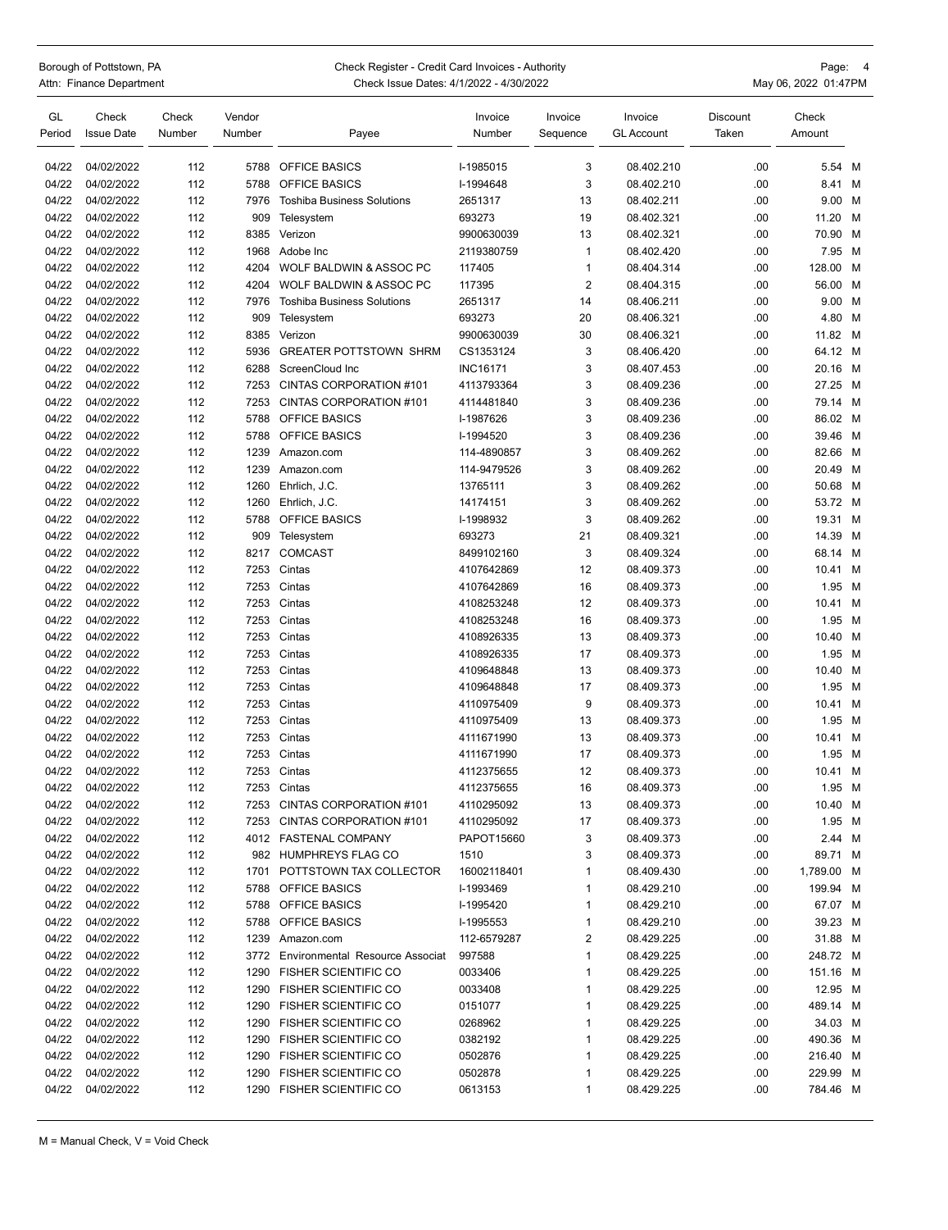| Borough of Pottstown, PA |
|--------------------------|
| Attn: Finance Department |

## Check Register - Credit Card Invoices - Authority **Check Register - Credit Card Invoices - Authority** Page: 4

| .         | Chook Rogiotor Croant Cara involved Traditority | uyv.                 |
|-----------|-------------------------------------------------|----------------------|
| epartment | Check Issue Dates: 4/1/2022 - 4/30/2022         | May 06, 2022 01:47PM |

| GL<br>Period   | Check<br><b>Issue Date</b> | Check<br>Number | Vendor<br>Number | Payee                                        | Invoice<br>Number      | Invoice<br>Sequence | Invoice<br><b>GL Account</b> | Discount<br>Taken | Check<br>Amount    |   |
|----------------|----------------------------|-----------------|------------------|----------------------------------------------|------------------------|---------------------|------------------------------|-------------------|--------------------|---|
|                |                            |                 |                  |                                              |                        |                     |                              |                   |                    |   |
| 04/22          | 04/02/2022                 | 112             | 5788             | <b>OFFICE BASICS</b><br><b>OFFICE BASICS</b> | I-1985015<br>I-1994648 | 3                   | 08.402.210                   | .00               | 5.54               | M |
| 04/22<br>04/22 | 04/02/2022<br>04/02/2022   | 112<br>112      | 5788<br>7976     | <b>Toshiba Business Solutions</b>            | 2651317                | 3<br>13             | 08.402.210<br>08.402.211     | .00<br>.00        | 8.41 M<br>9.00 M   |   |
| 04/22          | 04/02/2022                 | 112             | 909              |                                              | 693273                 | 19                  | 08.402.321                   | .00               | 11.20              | M |
| 04/22          | 04/02/2022                 | 112             | 8385             | Telesystem<br>Verizon                        | 9900630039             | 13                  | 08.402.321                   | .00               | 70.90 M            |   |
| 04/22          | 04/02/2022                 | 112             | 1968             | Adobe Inc                                    | 2119380759             | 1                   | 08.402.420                   | .00               | 7.95 M             |   |
| 04/22          | 04/02/2022                 | 112             | 4204             | WOLF BALDWIN & ASSOC PC                      | 117405                 | 1                   | 08.404.314                   | .00               | 128.00             | M |
| 04/22          | 04/02/2022                 | 112             | 4204             | WOLF BALDWIN & ASSOC PC                      | 117395                 | $\overline{2}$      | 08.404.315                   | .00               | 56.00 M            |   |
| 04/22          |                            |                 | 7976             |                                              |                        |                     |                              |                   |                    |   |
| 04/22          | 04/02/2022<br>04/02/2022   | 112             | 909              | <b>Toshiba Business Solutions</b>            | 2651317                | 14<br>20            | 08.406.211                   | .00               | 9.00 M             |   |
| 04/22          | 04/02/2022                 | 112<br>112      | 8385             | Telesystem<br>Verizon                        | 693273<br>9900630039   | 30                  | 08.406.321<br>08.406.321     | .00<br>.00        | 4.80 M<br>11.82 M  |   |
| 04/22          | 04/02/2022                 | 112             | 5936             | <b>GREATER POTTSTOWN SHRM</b>                | CS1353124              | 3                   | 08.406.420                   | .00               | 64.12 M            |   |
| 04/22          | 04/02/2022                 | 112             | 6288             | ScreenCloud Inc                              | <b>INC16171</b>        | 3                   | 08.407.453                   | .00               | 20.16 M            |   |
|                |                            |                 |                  |                                              |                        |                     |                              |                   |                    |   |
| 04/22          | 04/02/2022                 | 112             | 7253             | CINTAS CORPORATION #101                      | 4113793364             | 3                   | 08.409.236                   | .00               | 27.25 M            |   |
| 04/22          | 04/02/2022                 | 112             | 7253             | CINTAS CORPORATION #101                      | 4114481840             | 3<br>3              | 08.409.236                   | .00               | 79.14 M<br>86.02 M |   |
| 04/22          | 04/02/2022                 | 112             | 5788             | <b>OFFICE BASICS</b>                         | I-1987626              |                     | 08.409.236                   | .00               |                    |   |
| 04/22          | 04/02/2022<br>04/02/2022   | 112             | 5788             | OFFICE BASICS                                | I-1994520              | 3                   | 08.409.236                   | .00               | 39.46 M            |   |
| 04/22          |                            | 112             | 1239             | Amazon.com                                   | 114-4890857            | 3                   | 08.409.262                   | .00               | 82.66 M            |   |
| 04/22          | 04/02/2022                 | 112             | 1239             | Amazon.com                                   | 114-9479526            | 3                   | 08.409.262                   | .00               | 20.49 M            |   |
| 04/22          | 04/02/2022                 | 112             | 1260             | Ehrlich, J.C.                                | 13765111               | 3<br>3              | 08.409.262                   | .00               | 50.68 M<br>53.72 M |   |
| 04/22          | 04/02/2022<br>04/02/2022   | 112             | 1260             | Ehrlich, J.C.                                | 14174151               |                     | 08.409.262                   | .00               |                    |   |
| 04/22          | 04/02/2022                 | 112             | 5788             | OFFICE BASICS                                | I-1998932              | 3                   | 08.409.262<br>08.409.321     | .00               | 19.31 M            |   |
| 04/22          |                            | 112             | 909              | Telesystem                                   | 693273                 | 21                  |                              | .00               | 14.39 M            |   |
| 04/22          | 04/02/2022                 | 112             | 8217             | <b>COMCAST</b>                               | 8499102160             | 3                   | 08.409.324                   | .00               | 68.14 M            |   |
| 04/22          | 04/02/2022                 | 112             | 7253             | Cintas                                       | 4107642869             | 12                  | 08.409.373                   | .00               | 10.41 M            |   |
| 04/22<br>04/22 | 04/02/2022                 | 112             | 7253             | Cintas<br>Cintas                             | 4107642869             | 16                  | 08.409.373                   | .00               | 1.95 M             |   |
|                | 04/02/2022                 | 112             | 7253             |                                              | 4108253248             | 12                  | 08.409.373                   | .00               | 10.41 M            |   |
| 04/22          | 04/02/2022                 | 112             | 7253             | Cintas                                       | 4108253248             | 16                  | 08.409.373                   | .00               | 1.95 M             |   |
| 04/22          | 04/02/2022                 | 112             | 7253             | Cintas                                       | 4108926335             | 13                  | 08.409.373                   | .00               | 10.40 M            |   |
| 04/22          | 04/02/2022                 | 112             | 7253             | Cintas                                       | 4108926335             | 17                  | 08.409.373                   | .00               | 1.95 M             |   |
| 04/22          | 04/02/2022                 | 112             | 7253             | Cintas                                       | 4109648848             | 13                  | 08.409.373                   | .00               | 10.40 M            |   |
| 04/22          | 04/02/2022                 | 112             | 7253             | Cintas                                       | 4109648848             | 17<br>9             | 08.409.373                   | .00               | 1.95 M             |   |
| 04/22          | 04/02/2022                 | 112             | 7253             | Cintas                                       | 4110975409             |                     | 08.409.373                   | .00               | 10.41 M            |   |
| 04/22          | 04/02/2022                 | 112             | 7253             | Cintas                                       | 4110975409             | 13                  | 08.409.373                   | .00               | 1.95 M             |   |
| 04/22          | 04/02/2022                 | 112             | 7253             | Cintas                                       | 4111671990             | 13                  | 08.409.373                   | .00               | 10.41 M            |   |
| 04/22          | 04/02/2022                 | 112             | 7253             | Cintas                                       | 4111671990             | 17                  | 08.409.373                   | .00               | 1.95               | M |
| 04/22          | 04/02/2022                 | 112             | 7253             | Cintas                                       | 4112375655             | 12                  | 08.409.373                   | .00               | 10.41              | M |
| 04/22          | 04/02/2022                 | 112             | 7253             | Cintas                                       | 4112375655             | 16                  | 08.409.373                   | .00               | 1.95 M             |   |
| 04/22          | 04/02/2022                 | 112             | 7253             | CINTAS CORPORATION #101                      | 4110295092             | 13                  | 08.409.373                   | .00               | 10.40 M            |   |
| 04/22          | 04/02/2022                 | 112             | 7253             | CINTAS CORPORATION #101                      | 4110295092             | 17                  | 08.409.373                   | .00               | 1.95 M             |   |
| 04/22          | 04/02/2022                 | 112             | 4012             | FASTENAL COMPANY                             | PAPOT15660             | 3                   | 08.409.373                   | .00               | 2.44 M             |   |
| 04/22          | 04/02/2022                 | 112             |                  | 982 HUMPHREYS FLAG CO                        | 1510                   | 3                   | 08.409.373                   | .00               | 89.71 M            |   |
| 04/22          | 04/02/2022                 | 112             | 1701             | POTTSTOWN TAX COLLECTOR                      | 16002118401            | 1                   | 08.409.430                   | .00               | 1,789.00 M         |   |
| 04/22          | 04/02/2022                 | 112             | 5788             | <b>OFFICE BASICS</b>                         | I-1993469              | 1                   | 08.429.210                   | .00               | 199.94 M           |   |
| 04/22          | 04/02/2022                 | 112             | 5788             | OFFICE BASICS                                | I-1995420              | 1                   | 08.429.210                   | .00               | 67.07 M            |   |
| 04/22          | 04/02/2022                 | 112             | 5788             | OFFICE BASICS                                | I-1995553              | 1                   | 08.429.210                   | .00               | 39.23 M            |   |
| 04/22          | 04/02/2022                 | 112             | 1239             | Amazon.com                                   | 112-6579287            | 2                   | 08.429.225                   | .00               | 31.88 M            |   |
| 04/22          | 04/02/2022                 | 112             | 3772             | Environmental Resource Associat              | 997588                 | 1                   | 08.429.225                   | .00               | 248.72 M           |   |
| 04/22          | 04/02/2022                 | 112             | 1290             | <b>FISHER SCIENTIFIC CO</b>                  | 0033406                | 1                   | 08.429.225                   | .00               | 151.16 M           |   |
| 04/22          | 04/02/2022                 | 112             | 1290             | <b>FISHER SCIENTIFIC CO</b>                  | 0033408                | 1                   | 08.429.225                   | .00               | 12.95 M            |   |
| 04/22          | 04/02/2022                 | 112             | 1290             | <b>FISHER SCIENTIFIC CO</b>                  | 0151077                | 1                   | 08.429.225                   | .00               | 489.14 M           |   |
| 04/22          | 04/02/2022                 | 112             | 1290             | <b>FISHER SCIENTIFIC CO</b>                  | 0268962                | 1                   | 08.429.225                   | .00               | 34.03 M            |   |
| 04/22          | 04/02/2022                 | 112             | 1290             | <b>FISHER SCIENTIFIC CO</b>                  | 0382192                | 1                   | 08.429.225                   | .00               | 490.36 M           |   |
| 04/22          | 04/02/2022                 | 112             | 1290             | <b>FISHER SCIENTIFIC CO</b>                  | 0502876                | 1                   | 08.429.225                   | .00               | 216.40 M           |   |
| 04/22          | 04/02/2022                 | 112             | 1290             | <b>FISHER SCIENTIFIC CO</b>                  | 0502878                | 1                   | 08.429.225                   | .00               | 229.99 M           |   |
| 04/22          | 04/02/2022                 | 112             | 1290             | <b>FISHER SCIENTIFIC CO</b>                  | 0613153                | 1                   | 08.429.225                   | .00               | 784.46 M           |   |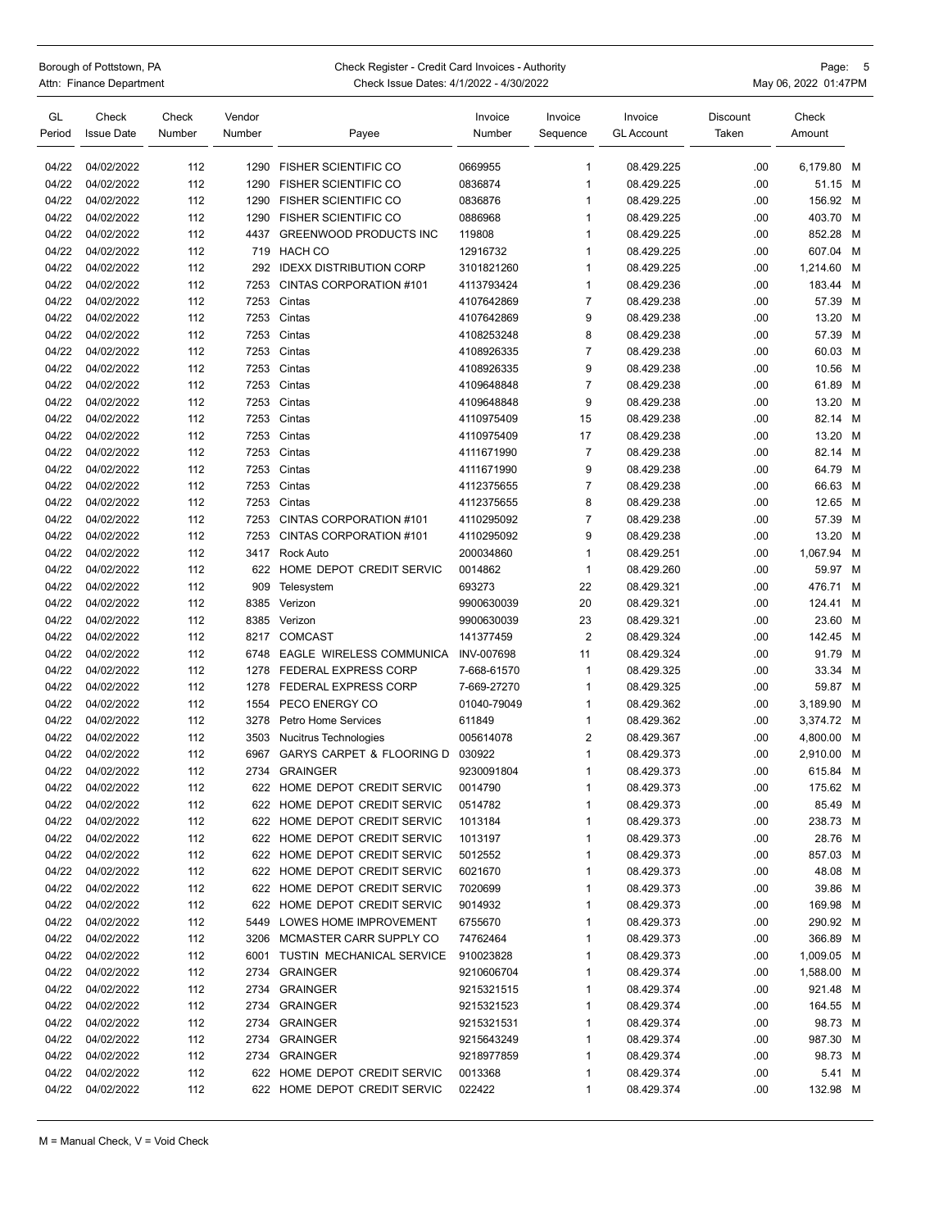| Borough of Pottstown, PA |                          |  |  |  |  |
|--------------------------|--------------------------|--|--|--|--|
|                          | Attn: Finance Department |  |  |  |  |

## Check Register - Credit Card Invoices - Authority **Page: 5**

|           | Check Register - Orean Oard Involves - Additionly | ayu.<br>ັບ           |
|-----------|---------------------------------------------------|----------------------|
| epartment | Check Issue Dates: 4/1/2022 - 4/30/2022           | May 06, 2022 01:47PM |

| GL<br>Period   | Check<br><b>Issue Date</b> | Check<br>Number | Vendor<br>Number | Payee                                                        | Invoice<br>Number  | Invoice<br>Sequence | Invoice<br><b>GL Account</b> | Discount<br>Taken | Check<br>Amount     |   |
|----------------|----------------------------|-----------------|------------------|--------------------------------------------------------------|--------------------|---------------------|------------------------------|-------------------|---------------------|---|
| 04/22          | 04/02/2022                 | 112             | 1290             | <b>FISHER SCIENTIFIC CO</b>                                  | 0669955            | 1                   | 08.429.225                   | .00               | 6,179.80            | M |
| 04/22          | 04/02/2022                 | 112             | 1290             | <b>FISHER SCIENTIFIC CO</b>                                  | 0836874            | 1                   | 08.429.225                   | .00               | 51.15 M             |   |
| 04/22          | 04/02/2022                 | 112             | 1290             | <b>FISHER SCIENTIFIC CO</b>                                  | 0836876            | 1                   | 08.429.225                   | .00               | 156.92 M            |   |
| 04/22          | 04/02/2022                 | 112             | 1290             | <b>FISHER SCIENTIFIC CO</b>                                  | 0886968            | 1                   | 08.429.225                   | .00               | 403.70 M            |   |
| 04/22          | 04/02/2022                 | 112             | 4437             | GREENWOOD PRODUCTS INC                                       | 119808             | 1                   | 08.429.225                   | .00               | 852.28              | M |
| 04/22          | 04/02/2022                 | 112             | 719              | <b>HACH CO</b>                                               | 12916732           | $\mathbf{1}$        | 08.429.225                   | .00               | 607.04              | M |
| 04/22          | 04/02/2022                 | 112             | 292              | <b>IDEXX DISTRIBUTION CORP</b>                               | 3101821260         | 1                   | 08.429.225                   | .00               | 1.214.60            | M |
| 04/22          | 04/02/2022                 | 112             | 7253             | CINTAS CORPORATION #101                                      | 4113793424         | 1                   | 08.429.236                   | .00               | 183.44 M            |   |
| 04/22          | 04/02/2022                 | 112             | 7253             | Cintas                                                       | 4107642869         | $\overline{7}$      | 08.429.238                   | .00               | 57.39 M             |   |
| 04/22          | 04/02/2022                 | 112             | 7253             | Cintas                                                       | 4107642869         | 9                   | 08.429.238                   | .00               | 13.20 M             |   |
| 04/22          | 04/02/2022                 | 112             | 7253             | Cintas                                                       | 4108253248         | 8                   | 08.429.238                   | .00               | 57.39 M             |   |
| 04/22          | 04/02/2022                 | 112             | 7253             | Cintas                                                       | 4108926335         | $\overline{7}$      | 08.429.238                   | .00               | 60.03 M             |   |
| 04/22          | 04/02/2022                 | 112             | 7253             | Cintas                                                       | 4108926335         | 9                   | 08.429.238                   | .00               | 10.56 M             |   |
| 04/22          | 04/02/2022                 | 112             | 7253             | Cintas                                                       | 4109648848         | $\overline{7}$      | 08.429.238                   | .00               | 61.89 M             |   |
| 04/22          | 04/02/2022                 | 112             | 7253             | Cintas                                                       | 4109648848         | 9                   | 08.429.238                   | .00               | 13.20 M             |   |
| 04/22          | 04/02/2022                 | 112             | 7253             | Cintas                                                       | 4110975409         | 15                  | 08.429.238                   | .00               | 82.14 M             |   |
| 04/22          | 04/02/2022                 | 112             | 7253             | Cintas                                                       | 4110975409         | 17                  | 08.429.238                   | .00               | 13.20 M             |   |
| 04/22          | 04/02/2022                 | 112             | 7253             | Cintas                                                       | 4111671990         | $\overline{7}$      | 08.429.238                   | .00               | 82.14 M             |   |
| 04/22          | 04/02/2022                 | 112             | 7253             | Cintas                                                       | 4111671990         | 9                   | 08.429.238                   | .00               | 64.79 M             |   |
| 04/22          | 04/02/2022                 | 112             | 7253             | Cintas                                                       | 4112375655         | $\overline{7}$      | 08.429.238                   | .00               | 66.63 M             |   |
| 04/22          | 04/02/2022                 | 112             | 7253             | Cintas                                                       | 4112375655         | 8                   | 08.429.238                   | .00               | 12.65 M             |   |
| 04/22          | 04/02/2022                 | 112             | 7253             | CINTAS CORPORATION #101                                      | 4110295092         | $\overline{7}$      | 08.429.238                   | .00               | 57.39 M             |   |
| 04/22          | 04/02/2022                 | 112             | 7253             | CINTAS CORPORATION #101                                      | 4110295092         | 9                   | 08.429.238                   | .00               | 13.20 M             |   |
| 04/22          | 04/02/2022                 | 112             | 3417             | <b>Rock Auto</b>                                             | 200034860          | 1                   | 08.429.251                   | .00               | 1,067.94            | M |
| 04/22          | 04/02/2022                 | 112             | 622              | HOME DEPOT CREDIT SERVIC                                     | 0014862            | 1                   | 08.429.260                   | .00               | 59.97 M             |   |
| 04/22          | 04/02/2022                 | 112             | 909              | Telesystem                                                   | 693273             | 22                  | 08.429.321                   | .00               | 476.71              | м |
| 04/22          | 04/02/2022                 | 112             | 8385             | Verizon                                                      | 9900630039         | 20                  | 08.429.321                   | .00               | 124.41              | M |
| 04/22          | 04/02/2022                 | 112             | 8385             | Verizon                                                      | 9900630039         | 23                  | 08.429.321                   | .00               | 23.60 M             |   |
| 04/22          | 04/02/2022                 | 112             | 8217             | <b>COMCAST</b>                                               | 141377459          | $\overline{2}$      | 08.429.324                   | .00               | 142.45 M            |   |
| 04/22          | 04/02/2022                 | 112             | 6748             | EAGLE WIRELESS COMMUNICA                                     | <b>INV-007698</b>  | 11                  | 08.429.324                   | .00               | 91.79 M             |   |
| 04/22          | 04/02/2022                 | 112             | 1278             | <b>FEDERAL EXPRESS CORP</b>                                  | 7-668-61570        | $\mathbf{1}$        | 08.429.325                   | .00               | 33.34 M             |   |
| 04/22          | 04/02/2022                 | 112             | 1278             | <b>FEDERAL EXPRESS CORP</b>                                  | 7-669-27270        | 1                   | 08.429.325                   | .00               | 59.87 M             |   |
| 04/22          | 04/02/2022                 | 112             | 1554             | PECO ENERGY CO                                               | 01040-79049        | 1                   | 08.429.362                   | .00               | 3,189.90 M          |   |
| 04/22          | 04/02/2022                 | 112             | 3278             | Petro Home Services                                          | 611849             | $\mathbf{1}$        | 08.429.362                   | .00               | 3,374.72 M          |   |
| 04/22          | 04/02/2022                 | 112             | 3503             | Nucitrus Technologies                                        | 005614078          | $\overline{2}$      | 08.429.367                   | .00               | 4,800.00            | M |
| 04/22          | 04/02/2022                 | 112             | 6967             | GARYS CARPET & FLOORING D                                    | 030922             | 1                   | 08.429.373                   | .00               | 2,910.00            | M |
| 04/22          | 04/02/2022                 | 112             | 2734             | <b>GRAINGER</b>                                              | 9230091804         | 1                   | 08.429.373                   | .00               | 615.84              | M |
| 04/22          | 04/02/2022                 | 112             | 622              | HOME DEPOT CREDIT SERVIC                                     | 0014790            | 1                   | 08.429.373                   | .00               | 175.62 M            |   |
| 04/22          | 04/02/2022                 | 112             |                  | 622 HOME DEPOT CREDIT SERVIC                                 | 0514782            | 1                   | 08.429.373                   | .00               | 85.49 M             |   |
| 04/22          | 04/02/2022                 | 112             |                  | 622 HOME DEPOT CREDIT SERVIC<br>622 HOME DEPOT CREDIT SERVIC | 1013184            | 1                   | 08.429.373                   | .00               | 238.73 M            |   |
| 04/22<br>04/22 | 04/02/2022<br>04/02/2022   | 112<br>112      |                  | 622 HOME DEPOT CREDIT SERVIC                                 | 1013197            | 1<br>1              | 08.429.373<br>08.429.373     | .00               | 28.76 M             |   |
| 04/22          | 04/02/2022                 | 112             |                  | 622 HOME DEPOT CREDIT SERVIC                                 | 5012552<br>6021670 | 1                   | 08.429.373                   | .00<br>.00        | 857.03 M<br>48.08 M |   |
| 04/22          | 04/02/2022                 | 112             |                  | 622 HOME DEPOT CREDIT SERVIC                                 | 7020699            | 1                   | 08.429.373                   | .00               | 39.86 M             |   |
| 04/22          | 04/02/2022                 | 112             |                  | 622 HOME DEPOT CREDIT SERVIC                                 | 9014932            | 1                   | 08.429.373                   | .00               | 169.98 M            |   |
| 04/22          | 04/02/2022                 | 112             |                  | 5449 LOWES HOME IMPROVEMENT                                  | 6755670            | 1                   | 08.429.373                   | .00               | 290.92 M            |   |
| 04/22          | 04/02/2022                 | 112             |                  | 3206 MCMASTER CARR SUPPLY CO                                 | 74762464           | 1                   | 08.429.373                   | .00               | 366.89 M            |   |
| 04/22          | 04/02/2022                 | 112             |                  | 6001 TUSTIN MECHANICAL SERVICE                               | 910023828          | 1                   | 08.429.373                   | .00               | 1,009.05 M          |   |
| 04/22          | 04/02/2022                 | 112             |                  | 2734 GRAINGER                                                | 9210606704         | 1                   | 08.429.374                   | .00               | 1,588.00 M          |   |
|                | 04/22 04/02/2022           | 112             |                  | 2734 GRAINGER                                                | 9215321515         | 1                   | 08.429.374                   | .00               | 921.48 M            |   |
| 04/22          | 04/02/2022                 | 112             | 2734             | <b>GRAINGER</b>                                              | 9215321523         | 1                   | 08.429.374                   | .00               | 164.55 M            |   |
| 04/22          | 04/02/2022                 | 112             | 2734             | <b>GRAINGER</b>                                              | 9215321531         | 1                   | 08.429.374                   | .00               | 98.73 M             |   |
| 04/22          | 04/02/2022                 | 112             |                  | 2734 GRAINGER                                                | 9215643249         | 1                   | 08.429.374                   | .00               | 987.30 M            |   |
| 04/22          | 04/02/2022                 | 112             |                  | 2734 GRAINGER                                                | 9218977859         | 1                   | 08.429.374                   | .00               | 98.73 M             |   |
| 04/22          | 04/02/2022                 | 112             |                  | 622 HOME DEPOT CREDIT SERVIC                                 | 0013368            | 1                   | 08.429.374                   | .00               | 5.41 M              |   |
| 04/22          | 04/02/2022                 | 112             |                  | 622 HOME DEPOT CREDIT SERVIC                                 | 022422             | 1                   | 08.429.374                   | .00               | 132.98 M            |   |
|                |                            |                 |                  |                                                              |                    |                     |                              |                   |                     |   |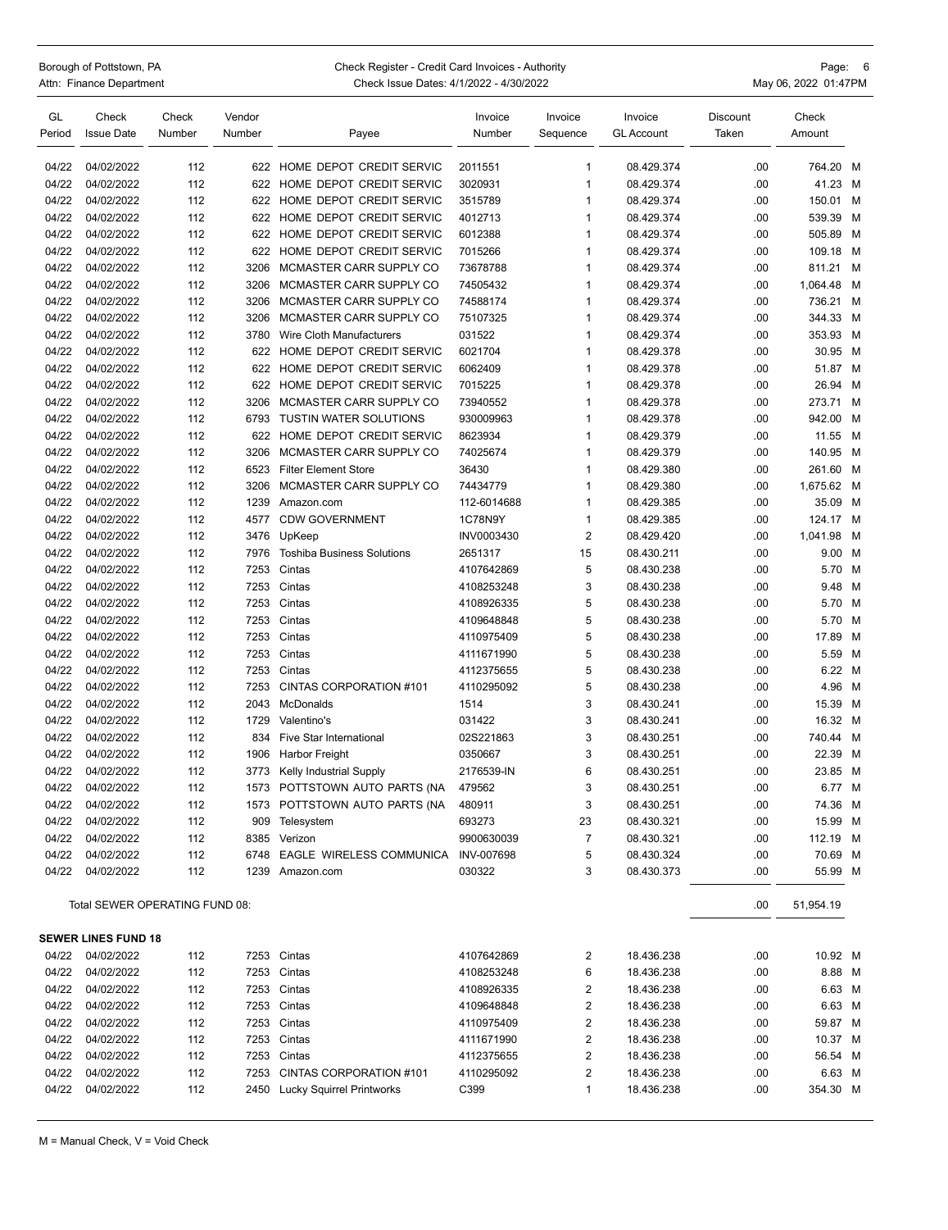| Borough of Pottstown, PA | Check Register - Credit Card Invoices - Authority | Page: 6              |
|--------------------------|---------------------------------------------------|----------------------|
| Attn: Finance Department | Check Issue Dates: 4/1/2022 - 4/30/2022           | May 06, 2022 01:47PM |

| GL<br>Period | Check<br><b>Issue Date</b> | Check<br>Number | Vendor<br>Number | Payee                             | Invoice<br>Number | Invoice<br>Sequence | Invoice<br><b>GL Account</b> | <b>Discount</b><br>Taken | Check<br>Amount |     |
|--------------|----------------------------|-----------------|------------------|-----------------------------------|-------------------|---------------------|------------------------------|--------------------------|-----------------|-----|
|              |                            |                 |                  |                                   |                   |                     |                              |                          |                 |     |
| 04/22        | 04/02/2022                 | 112             | 622              | HOME DEPOT CREDIT SERVIC          | 2011551           | $\mathbf{1}$        | 08.429.374                   | .00                      | 764.20 M        |     |
| 04/22        | 04/02/2022                 | 112             | 622              | HOME DEPOT CREDIT SERVIC          | 3020931           | $\mathbf{1}$        | 08.429.374                   | .00                      | 41.23 M         |     |
| 04/22        | 04/02/2022                 | 112             | 622              | HOME DEPOT CREDIT SERVIC          | 3515789           | 1                   | 08.429.374                   | .00                      | 150.01          | м   |
| 04/22        | 04/02/2022                 | 112             | 622              | HOME DEPOT CREDIT SERVIC          | 4012713           | 1                   | 08.429.374                   | .00                      | 539.39 M        |     |
| 04/22        | 04/02/2022                 | 112             | 622              | HOME DEPOT CREDIT SERVIC          | 6012388           | $\mathbf{1}$        | 08.429.374                   | .00                      | 505.89          | M   |
| 04/22        | 04/02/2022                 | 112             | 622              | HOME DEPOT CREDIT SERVIC          | 7015266           | 1                   | 08.429.374                   | .00                      | 109.18 M        |     |
| 04/22        | 04/02/2022                 | 112             | 3206             | MCMASTER CARR SUPPLY CO           | 73678788          | $\mathbf{1}$        | 08.429.374                   | .00                      | 811.21          | M   |
| 04/22        | 04/02/2022                 | 112             | 3206             | MCMASTER CARR SUPPLY CO           | 74505432          | $\mathbf{1}$        | 08.429.374                   | .00                      | 1,064.48        | M   |
| 04/22        | 04/02/2022                 | 112             | 3206             | MCMASTER CARR SUPPLY CO           | 74588174          | 1                   | 08.429.374                   | .00                      | 736.21          | - M |
| 04/22        | 04/02/2022                 | 112             | 3206             | MCMASTER CARR SUPPLY CO           | 75107325          | $\mathbf{1}$        | 08.429.374                   | .00                      | 344.33 M        |     |
| 04/22        | 04/02/2022                 | 112             | 3780             | Wire Cloth Manufacturers          | 031522            | $\mathbf{1}$        | 08.429.374                   | .00                      | 353.93 M        |     |
| 04/22        | 04/02/2022                 | 112             | 622              | HOME DEPOT CREDIT SERVIC          | 6021704           | 1                   | 08.429.378                   | .00                      | 30.95 M         |     |
| 04/22        | 04/02/2022                 | 112             | 622              | HOME DEPOT CREDIT SERVIC          | 6062409           | $\mathbf{1}$        | 08.429.378                   | .00                      | 51.87 M         |     |
| 04/22        | 04/02/2022                 | 112             | 622              | HOME DEPOT CREDIT SERVIC          | 7015225           | $\mathbf{1}$        | 08.429.378                   | .00                      | 26.94 M         |     |
| 04/22        | 04/02/2022                 | 112             | 3206             | MCMASTER CARR SUPPLY CO           | 73940552          | 1                   | 08.429.378                   | .00                      | 273.71          | м   |
| 04/22        | 04/02/2022                 | 112             | 6793             | <b>TUSTIN WATER SOLUTIONS</b>     | 930009963         | $\mathbf{1}$        | 08.429.378                   | .00                      | 942.00          | M   |
| 04/22        | 04/02/2022                 | 112             | 622              | HOME DEPOT CREDIT SERVIC          | 8623934           | 1                   | 08.429.379                   | .00                      | 11.55           | M   |
| 04/22        | 04/02/2022                 | 112             | 3206             | MCMASTER CARR SUPPLY CO           | 74025674          | 1                   | 08.429.379                   | .00                      | 140.95          | M   |
| 04/22        | 04/02/2022                 | 112             | 6523             | <b>Filter Element Store</b>       | 36430             | $\mathbf{1}$        | 08.429.380                   | .00                      | 261.60 M        |     |
| 04/22        | 04/02/2022                 | 112             | 3206             | MCMASTER CARR SUPPLY CO           | 74434779          | $\mathbf{1}$        | 08.429.380                   | .00                      | 1,675.62 M      |     |
| 04/22        | 04/02/2022                 | 112             | 1239             | Amazon.com                        | 112-6014688       | $\mathbf{1}$        | 08.429.385                   | .00                      | 35.09 M         |     |
| 04/22        | 04/02/2022                 | 112             | 4577             | <b>CDW GOVERNMENT</b>             | 1C78N9Y           | $\mathbf{1}$        | 08.429.385                   | .00                      | 124.17 M        |     |
| 04/22        | 04/02/2022                 | 112             | 3476             | UpKeep                            | INV0003430        | $\overline{2}$      | 08.429.420                   | .00                      | 1,041.98        | M   |
| 04/22        | 04/02/2022                 | 112             | 7976             | <b>Toshiba Business Solutions</b> | 2651317           | 15                  | 08.430.211                   | .00                      | 9.00 M          |     |
| 04/22        | 04/02/2022                 | 112             | 7253             | Cintas                            | 4107642869        | 5                   | 08.430.238                   | .00                      | 5.70            | M   |
| 04/22        | 04/02/2022                 | 112             | 7253             | Cintas                            | 4108253248        | 3                   | 08.430.238                   | .00                      | 9.48 M          |     |
| 04/22        | 04/02/2022                 | 112             | 7253             | Cintas                            | 4108926335        | 5                   | 08.430.238                   | .00                      | 5.70 M          |     |
| 04/22        | 04/02/2022                 | 112             | 7253             | Cintas                            | 4109648848        | 5                   | 08.430.238                   | .00                      | 5.70 M          |     |
| 04/22        | 04/02/2022                 | 112             | 7253             | Cintas                            | 4110975409        | 5                   | 08.430.238                   | .00                      | 17.89           | M   |
| 04/22        | 04/02/2022                 | 112             | 7253             | Cintas                            | 4111671990        | 5                   | 08.430.238                   | .00                      | 5.59 M          |     |
| 04/22        | 04/02/2022                 | 112             | 7253             | Cintas                            | 4112375655        | 5                   | 08.430.238                   | .00                      | 6.22 M          |     |
| 04/22        | 04/02/2022                 | 112             | 7253             | CINTAS CORPORATION #101           | 4110295092        | 5                   | 08.430.238                   | .00                      | 4.96 M          |     |
| 04/22        | 04/02/2022                 | 112             | 2043             | <b>McDonalds</b>                  | 1514              | 3                   | 08.430.241                   | .00                      | 15.39 M         |     |
| 04/22        | 04/02/2022                 | 112             | 1729             | Valentino's                       | 031422            | 3                   | 08.430.241                   | .00                      | 16.32 M         |     |
| 04/22        | 04/02/2022                 | 112             | 834              | <b>Five Star International</b>    | 02S221863         | 3                   | 08.430.251                   | .00                      | 740.44          | M   |
| 04/22        | 04/02/2022                 | 112             | 1906             | Harbor Freight                    | 0350667           | 3                   | 08.430.251                   | .00                      | 22.39 M         |     |
| 04/22        | 04/02/2022                 | 112             | 3773             | Kelly Industrial Supply           | 2176539-IN        | 6                   | 08.430.251                   | .00                      | 23.85 M         |     |
| 04/22        | 04/02/2022                 | 112             | 1573             | POTTSTOWN AUTO PARTS (NA          | 479562            | 3                   | 08.430.251                   | .00                      | 6.77 M          |     |
| 04/22        | 04/02/2022                 | 112             | 1573             | POTTSTOWN AUTO PARTS (NA          | 480911            | 3                   | 08.430.251                   | .00                      | 74.36 M         |     |
| 04/22        | 04/02/2022                 | 112             | 909              | Telesystem                        | 693273            | 23                  | 08.430.321                   | .00                      | 15.99           | M   |
| 04/22        | 04/02/2022                 | 112             | 8385             | Verizon                           | 9900630039        | $\overline{7}$      | 08.430.321                   | .00                      | 112.19          | M   |
| 04/22        | 04/02/2022                 | 112             | 6748             | EAGLE WIRELESS COMMUNICA          | <b>INV-007698</b> | 5                   | 08.430.324                   | .00                      | 70.69 M         |     |

Total SEWER OPERATING FUND 08: .00 51,954.19

|       | <b>SEWER LINES FUND 18</b> |     |      |                           |            |                |            |     |          |  |
|-------|----------------------------|-----|------|---------------------------|------------|----------------|------------|-----|----------|--|
| 04/22 | 04/02/2022                 | 112 |      | 7253 Cintas               | 4107642869 | 2              | 18.436.238 | .00 | 10.92 M  |  |
| 04/22 | 04/02/2022                 | 112 |      | 7253 Cintas               | 4108253248 | 6              | 18.436.238 | .00 | 8.88 M   |  |
| 04/22 | 04/02/2022                 | 112 |      | 7253 Cintas               | 4108926335 | 2              | 18.436.238 | .00 | 6.63 M   |  |
| 04/22 | 04/02/2022                 | 112 |      | 7253 Cintas               | 4109648848 | 2              | 18.436.238 | .00 | 6.63 M   |  |
| 04/22 | 04/02/2022                 | 112 |      | 7253 Cintas               | 4110975409 | 2              | 18.436.238 | .00 | 59.87 M  |  |
| 04/22 | 04/02/2022                 | 112 |      | 7253 Cintas               | 4111671990 | $\overline{2}$ | 18.436.238 | .00 | 10.37 M  |  |
| 04/22 | 04/02/2022                 | 112 |      | 7253 Cintas               | 4112375655 | $\overline{2}$ | 18.436.238 | .00 | 56.54 M  |  |
| 04/22 | 04/02/2022                 | 112 | 7253 | CINTAS CORPORATION #101   | 4110295092 | 2              | 18.436.238 | .00 | 6.63 M   |  |
| 04/22 | 04/02/2022                 | 112 | 2450 | Lucky Squirrel Printworks | C399       |                | 18.436.238 | .00 | 354.30 M |  |

04/22 04/02/2022 112 1239 Amazon.com 030322 3 08.430.373 08.430.373 55.99 M